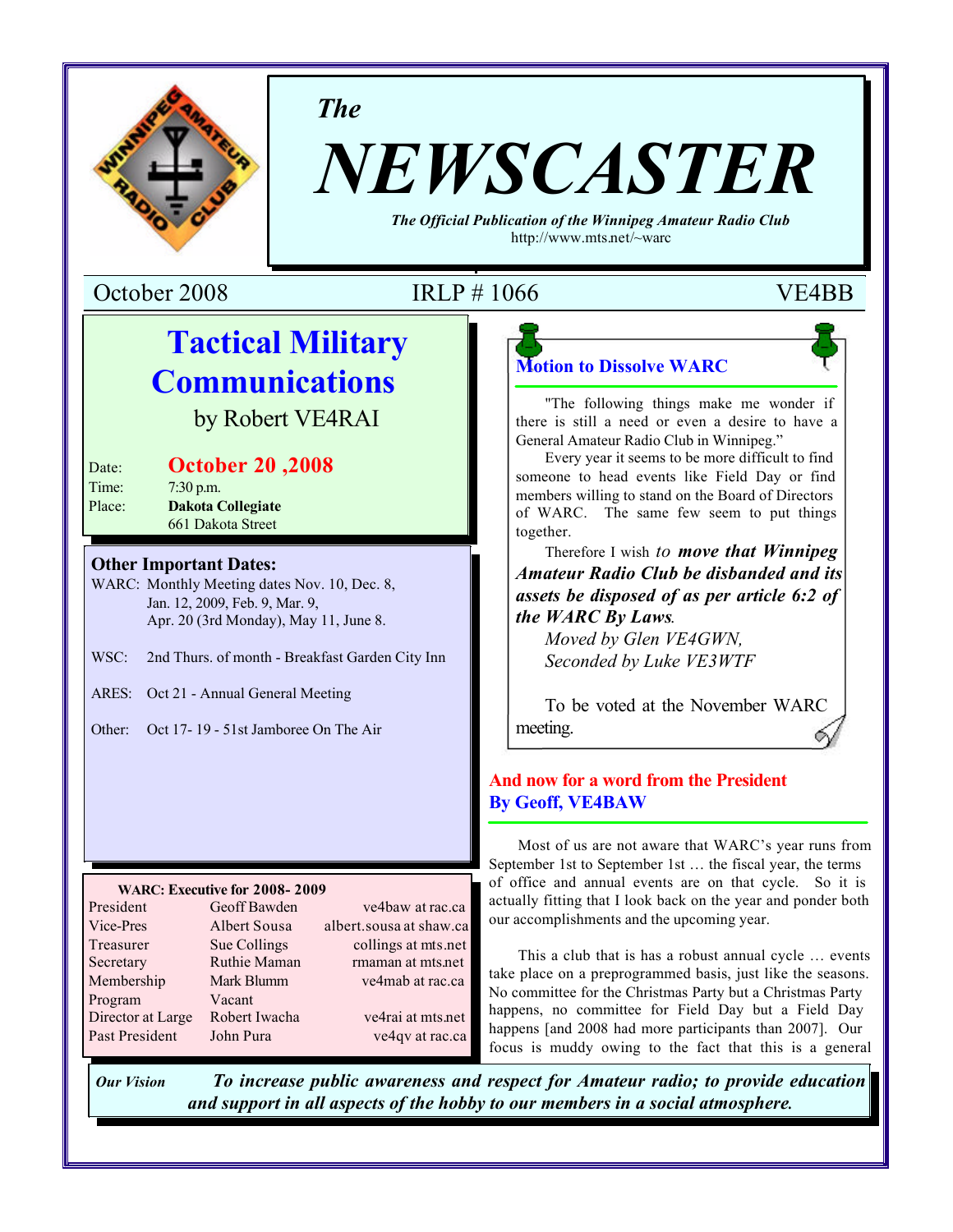

*The*

# *NEWSCASTER*

*The Official Publication of the Winnipeg Amateur Radio Club* http://www.mts.net/~warc

October 2008 IRLP # 1066 VE4BB

## **Tactical Military Communications**

by Robert VE4RAI

| Date:             | <b>October 20, 2008</b>                               |
|-------------------|-------------------------------------------------------|
| Time:             | $7:30$ p.m.                                           |
| D <sub>0.22</sub> | $\mathbf{D}_\alpha$ kata $\mathbf{C}_\alpha$ llagiata |

Place: **Dakota Collegiate** 661 Dakota Street

#### **Other Important Dates:**

WARC: Monthly Meeting dates Nov. 10, Dec. 8, Jan. 12, 2009, Feb. 9, Mar. 9, Apr. 20 (3rd Monday), May 11, June 8.

- WSC: 2nd Thurs. of month Breakfast Garden City Inn
- ARES: Oct 21 Annual General Meeting

Other: Oct 17- 19 - 51st Jamboree On The Air

#### **WARC: Executive for 2008- 2009**

| President         | Geoff Bawden  | ve4baw at rac.ca        |
|-------------------|---------------|-------------------------|
| Vice-Pres         | Albert Sousa  | albert.sousa at shaw.ca |
| Treasurer         | Sue Collings  | collings at mts.net     |
| Secretary         | Ruthie Maman  | rmaman at mts.net       |
| Membership        | Mark Blumm    | ve4mab at rac.ca        |
| Program           | Vacant        |                         |
| Director at Large | Robert Iwacha | ve4rai at mts.net       |
| Past President    | John Pura     | ve4qv at rac.ca         |
|                   |               |                         |

**Motion to Dissolve WARC**

"The following things make me wonder if there is still a need or even a desire to have a General Amateur Radio Club in Winnipeg."

Every year it seems to be more difficult to find someone to head events like Field Day or find members willing to stand on the Board of Directors of WARC. The same few seem to put things together.

Therefore I wish *to move that Winnipeg Amateur Radio Club be disbanded and its assets be disposed of as per article 6:2 of the WARC By Laws.*

*Moved by Glen VE4GWN, Seconded by Luke VE3WTF*

To be voted at the November WARC meeting.

### **And now for a word from the President By Geoff, VE4BAW**

Most of us are not aware that WARC's year runs from September 1st to September 1st … the fiscal year, the terms of office and annual events are on that cycle. So it is actually fitting that I look back on the year and ponder both our accomplishments and the upcoming year.

This a club that is has a robust annual cycle … events take place on a preprogrammed basis, just like the seasons. No committee for the Christmas Party but a Christmas Party happens, no committee for Field Day but a Field Day happens [and 2008 had more participants than 2007]. Our focus is muddy owing to the fact that this is a general

*Our Vision To increase public awareness and respect for Amateur radio; to provide education and support in all aspects of the hobby to our members in a social atmosphere.*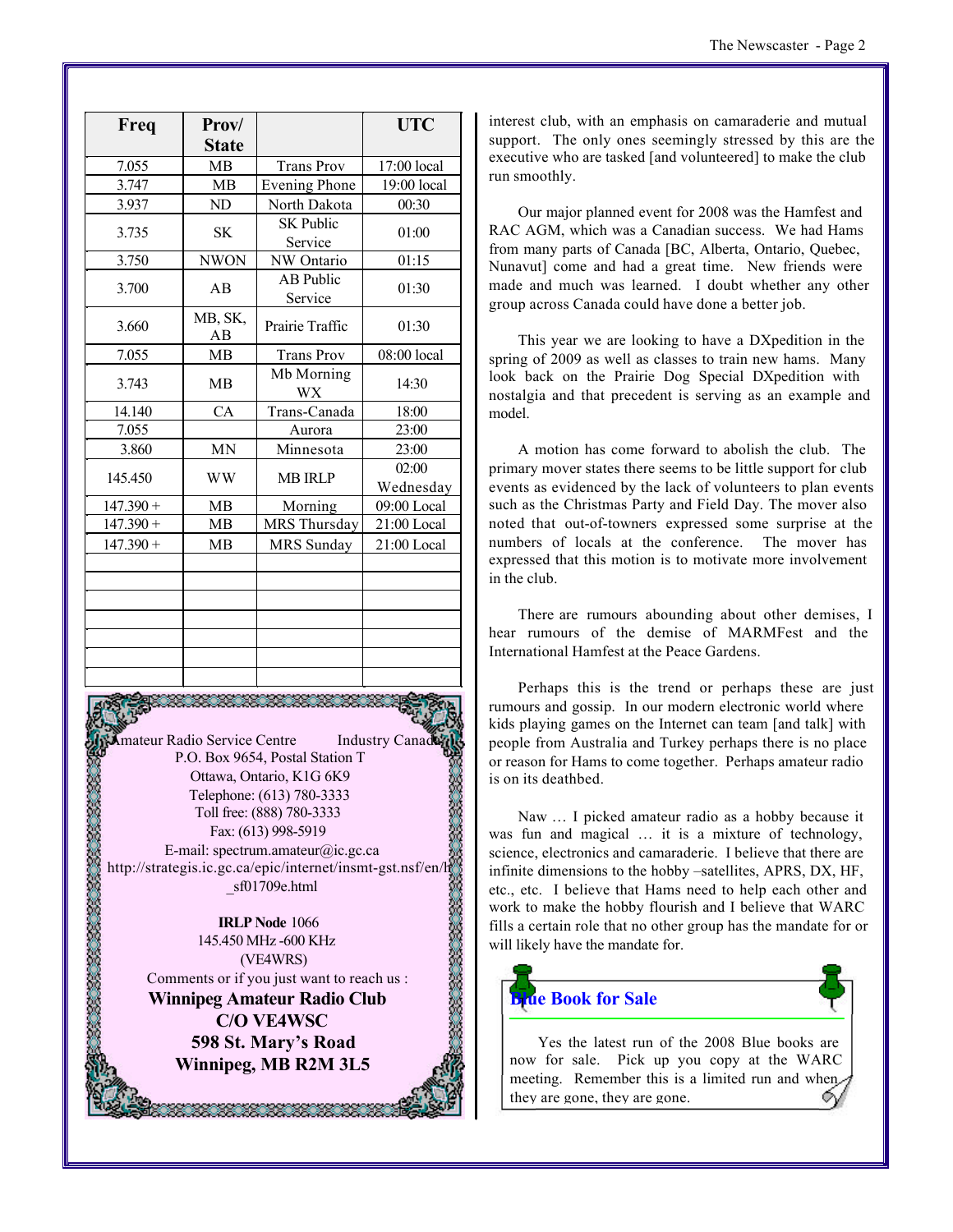| Freq        | Prov/         |                             | <b>UTC</b>         |
|-------------|---------------|-----------------------------|--------------------|
|             | <b>State</b>  |                             |                    |
| 7.055       | <b>MB</b>     | <b>Trans Prov</b>           | 17:00 local        |
| 3.747       | MB            | <b>Evening Phone</b>        | 19:00 local        |
| 3.937       | ND            | North Dakota                | 00:30              |
| 3.735       | <b>SK</b>     | <b>SK Public</b><br>Service | 01:00              |
| 3.750       | <b>NWON</b>   | NW Ontario                  | 01:15              |
| 3.700       | AB            | <b>AB Public</b><br>Service | 01:30              |
| 3.660       | MB, SK,<br>AB | Prairie Traffic             | 01:30              |
| 7.055       | MB            | <b>Trans Prov</b>           | 08:00 local        |
| 3.743       | MB            | Mb Morning<br><b>WX</b>     | 14:30              |
| 14.140      | CA            | Trans-Canada                | 18:00              |
| 7.055       |               | Aurora                      | 23:00              |
| 3.860       | <b>MN</b>     | Minnesota                   | 23:00              |
| 145.450     | <b>WW</b>     | <b>MB IRLP</b>              | 02:00<br>Wednesday |
| $147.390 +$ | MB            | Morning                     | 09:00 Local        |
| $147.390 +$ | <b>MB</b>     | MRS Thursday                | 21:00 Local        |
| $147.390 +$ | <b>MB</b>     | <b>MRS</b> Sunday           | 21:00 Local        |
|             |               |                             |                    |
|             |               |                             |                    |
|             |               |                             |                    |
|             |               |                             |                    |
|             |               |                             |                    |
|             |               |                             |                    |
|             |               |                             |                    |

**Amateur Radio Service Centre** Industry Canad P.O. Box 9654, Postal Station T Ottawa, Ontario, K1G 6K9 Telephone: (613) 780-3333 Toll free: (888) 780-3333 Fax: (613) 998-5919 E-mail: spectrum.amateur@ic.gc.ca http://strategis.ic.gc.ca/epic/internet/insmt-gst.nsf/en/h \_sf01709e.html

126. ISBN 2020

**IRLP Node** 1066 145.450 MHz -600 KHz (VE4WRS) Comments or if you just want to reach us :

**Winnipeg Amateur Radio Club C/O VE4WSC 598 St. Mary's Road Winnipeg, MB R2M 3L5**

88. 88. 88. 88. 88. 88.

interest club, with an emphasis on camaraderie and mutual support. The only ones seemingly stressed by this are the executive who are tasked [and volunteered] to make the club run smoothly.

Our major planned event for 2008 was the Hamfest and RAC AGM, which was a Canadian success. We had Hams from many parts of Canada [BC, Alberta, Ontario, Quebec, Nunavut] come and had a great time. New friends were made and much was learned. I doubt whether any other group across Canada could have done a better job.

This year we are looking to have a DXpedition in the spring of 2009 as well as classes to train new hams. Many look back on the Prairie Dog Special DXpedition with nostalgia and that precedent is serving as an example and model.

A motion has come forward to abolish the club. The primary mover states there seems to be little support for club events as evidenced by the lack of volunteers to plan events such as the Christmas Party and Field Day. The mover also noted that out-of-towners expressed some surprise at the numbers of locals at the conference. The mover has expressed that this motion is to motivate more involvement in the club.

There are rumours abounding about other demises, I hear rumours of the demise of MARMFest and the International Hamfest at the Peace Gardens.

Perhaps this is the trend or perhaps these are just rumours and gossip. In our modern electronic world where kids playing games on the Internet can team [and talk] with people from Australia and Turkey perhaps there is no place or reason for Hams to come together. Perhaps amateur radio is on its deathbed.

Naw … I picked amateur radio as a hobby because it was fun and magical … it is a mixture of technology, science, electronics and camaraderie. I believe that there are infinite dimensions to the hobby –satellites, APRS, DX, HF, etc., etc. I believe that Hams need to help each other and work to make the hobby flourish and I believe that WARC fills a certain role that no other group has the mandate for or will likely have the mandate for.



Yes the latest run of the 2008 Blue books are now for sale. Pick up you copy at the WARC meeting. Remember this is a limited run and when they are gone, they are gone.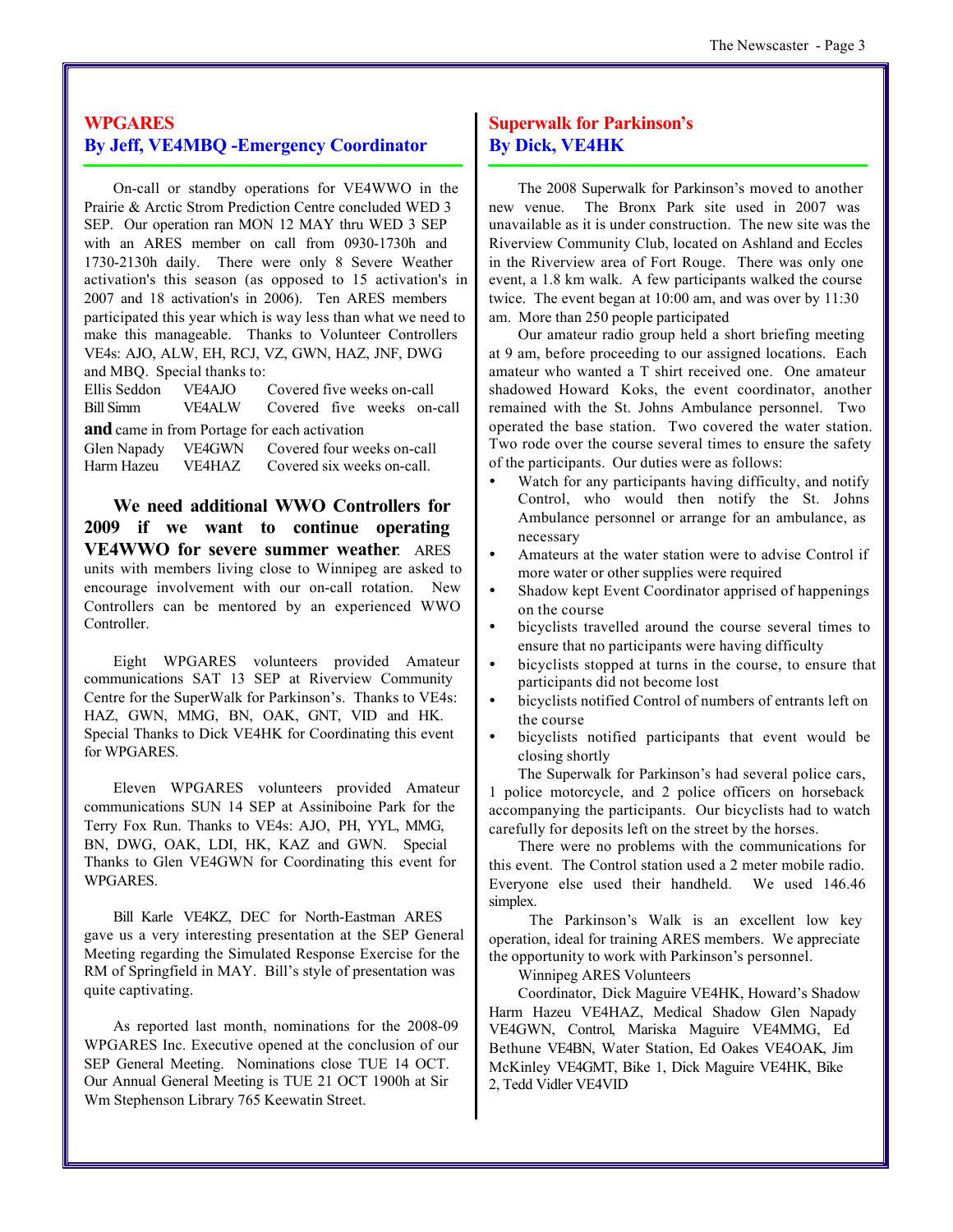#### **WPGARES By Jeff, VE4MBQ -Emergency Coordinator**

On-call or standby operations for VE4WWO in the Prairie & Arctic Strom Prediction Centre concluded WED 3 SEP. Our operation ran MON 12 MAY thru WED 3 SEP with an ARES member on call from 0930-1730h and 1730-2130h daily. There were only 8 Severe Weather activation's this season (as opposed to 15 activation's in 2007 and 18 activation's in 2006). Ten ARES members participated this year which is way less than what we need to make this manageable. Thanks to Volunteer Controllers VE4s: AJO, ALW, EH, RCJ, VZ, GWN, HAZ, JNF, DWG and MBQ. Special thanks to:

Ellis Seddon VE4AJO Covered five weeks on-call Bill Simm VE4ALW Covered five weeks on-call **and** came in from Portage for each activation

Glen Napady VE4GWN Covered four weeks on-call Harm Hazeu VE4HAZ Covered six weeks on-call.

**We need additional WWO Controllers for 2009 if we want to continue operating VE4WWO for severe summer weather**. ARES units with members living close to Winnipeg are asked to encourage involvement with our on-call rotation. New Controllers can be mentored by an experienced WWO Controller.

Eight WPGARES volunteers provided Amateur communications SAT 13 SEP at Riverview Community Centre for the SuperWalk for Parkinson's. Thanks to VE4s: HAZ, GWN, MMG, BN, OAK, GNT, VID and HK. Special Thanks to Dick VE4HK for Coordinating this event for WPGARES.

Eleven WPGARES volunteers provided Amateur communications SUN 14 SEP at Assiniboine Park for the Terry Fox Run. Thanks to VE4s: AJO, PH, YYL, MMG, BN, DWG, OAK, LDI, HK, KAZ and GWN. Special Thanks to Glen VE4GWN for Coordinating this event for WPGARES.

Bill Karle VE4KZ, DEC for North-Eastman ARES gave us a very interesting presentation at the SEP General Meeting regarding the Simulated Response Exercise for the RM of Springfield in MAY. Bill's style of presentation was quite captivating.

As reported last month, nominations for the 2008-09 WPGARES Inc. Executive opened at the conclusion of our SEP General Meeting. Nominations close TUE 14 OCT. Our Annual General Meeting is TUE 21 OCT 1900h at Sir Wm Stephenson Library 765 Keewatin Street.

#### **Superwalk for Parkinson's By Dick, VE4HK**

The 2008 Superwalk for Parkinson's moved to another new venue. The Bronx Park site used in 2007 was unavailable as it is under construction. The new site was the Riverview Community Club, located on Ashland and Eccles in the Riverview area of Fort Rouge. There was only one event, a 1.8 km walk. A few participants walked the course twice. The event began at 10:00 am, and was over by 11:30 am. More than 250 people participated

Our amateur radio group held a short briefing meeting at 9 am, before proceeding to our assigned locations. Each amateur who wanted a T shirt received one. One amateur shadowed Howard Koks, the event coordinator, another remained with the St. Johns Ambulance personnel. Two operated the base station. Two covered the water station. Two rode over the course several times to ensure the safety of the participants. Our duties were as follows:

- Watch for any participants having difficulty, and notify Control, who would then notify the St. Johns Ambulance personnel or arrange for an ambulance, as necessary
- Amateurs at the water station were to advise Control if more water or other supplies were required
- Shadow kept Event Coordinator apprised of happenings on the course
- ü bicyclists travelled around the course several times to ensure that no participants were having difficulty
- bicyclists stopped at turns in the course, to ensure that participants did not become lost
- bicyclists notified Control of numbers of entrants left on the course
- bicyclists notified participants that event would be closing shortly

The Superwalk for Parkinson's had several police cars, 1 police motorcycle, and 2 police officers on horseback accompanying the participants. Our bicyclists had to watch carefully for deposits left on the street by the horses.

There were no problems with the communications for this event. The Control station used a 2 meter mobile radio. Everyone else used their handheld. We used 146.46 simplex.

 The Parkinson's Walk is an excellent low key operation, ideal for training ARES members. We appreciate the opportunity to work with Parkinson's personnel.

Winnipeg ARES Volunteers

Coordinator, Dick Maguire VE4HK, Howard's Shadow Harm Hazeu VE4HAZ, Medical Shadow Glen Napady VE4GWN, Control, Mariska Maguire VE4MMG, Ed Bethune VE4BN, Water Station, Ed Oakes VE4OAK, Jim McKinley VE4GMT, Bike 1, Dick Maguire VE4HK, Bike 2, Tedd Vidler VE4VID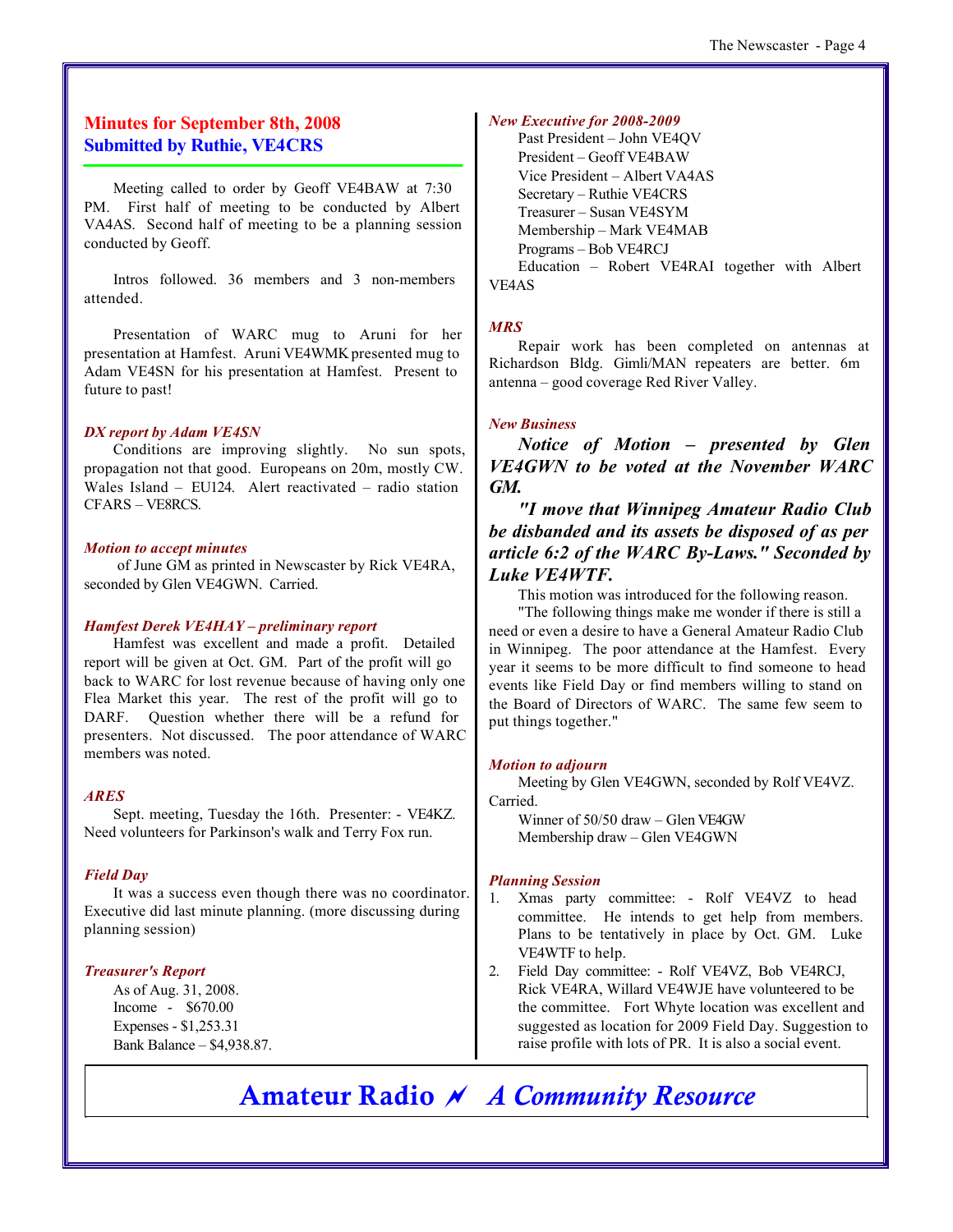#### **Minutes for September 8th, 2008 Submitted by Ruthie, VE4CRS**

Meeting called to order by Geoff VE4BAW at 7:30 PM. First half of meeting to be conducted by Albert VA4AS. Second half of meeting to be a planning session conducted by Geoff.

Intros followed. 36 members and 3 non-members attended.

Presentation of WARC mug to Aruni for her presentation at Hamfest. Aruni VE4WMK presented mug to Adam VE4SN for his presentation at Hamfest. Present to future to past!

#### *DX report by Adam VE4SN*

Conditions are improving slightly. No sun spots, propagation not that good. Europeans on 20m, mostly CW. Wales Island – EU124. Alert reactivated – radio station CFARS – VE8RCS.

#### *Motion to accept minutes*

 of June GM as printed in Newscaster by Rick VE4RA, seconded by Glen VE4GWN. Carried.

#### *Hamfest Derek VE4HAY – preliminary report*

Hamfest was excellent and made a profit. Detailed report will be given at Oct. GM. Part of the profit will go back to WARC for lost revenue because of having only one Flea Market this year. The rest of the profit will go to DARF. Question whether there will be a refund for presenters. Not discussed. The poor attendance of WARC members was noted.

#### *ARES*

Sept. meeting, Tuesday the 16th. Presenter: - VE4KZ. Need volunteers for Parkinson's walk and Terry Fox run.

#### *Field Day*

It was a success even though there was no coordinator. Executive did last minute planning. (more discussing during planning session)

#### *Treasurer's Report*

As of Aug. 31, 2008. Income - \$670.00 Expenses - \$1,253.31 Bank Balance – \$4,938.87.

#### *New Executive for 2008-2009*

Past President – John VE4QV President – Geoff VE4BAW Vice President – Albert VA4AS Secretary – Ruthie VE4CRS Treasurer – Susan VE4SYM Membership – Mark VE4MAB Programs – Bob VE4RCJ Education – Robert VE4RAI together with Albert VE4AS

#### *MRS*

Repair work has been completed on antennas at Richardson Bldg. Gimli/MAN repeaters are better. 6m antenna – good coverage Red River Valley.

#### *New Business*

*Notice of Motion – presented by Glen VE4GWN to be voted at the November WARC GM.*

*"I move that Winnipeg Amateur Radio Club be disbanded and its assets be disposed of as per article 6:2 of the WARC By-Laws." Seconded by Luke VE4WTF.*

This motion was introduced for the following reason.

"The following things make me wonder if there is still a need or even a desire to have a General Amateur Radio Club in Winnipeg. The poor attendance at the Hamfest. Every year it seems to be more difficult to find someone to head events like Field Day or find members willing to stand on the Board of Directors of WARC. The same few seem to put things together."

#### *Motion to adjourn*

Meeting by Glen VE4GWN, seconded by Rolf VE4VZ. Carried.

Winner of 50/50 draw – Glen VE4GW Membership draw – Glen VE4GWN

#### *Planning Session*

- 1. Xmas party committee: Rolf VE4VZ to head committee. He intends to get help from members. Plans to be tentatively in place by Oct. GM. Luke VE4WTF to help.
- 2. Field Day committee: Rolf VE4VZ, Bob VE4RCJ, Rick VE4RA, Willard VE4WJE have volunteered to be the committee. Fort Whyte location was excellent and suggested as location for 2009 Field Day. Suggestion to raise profile with lots of PR. It is also a social event.

**Amateur Radio** *~ A Community Resource*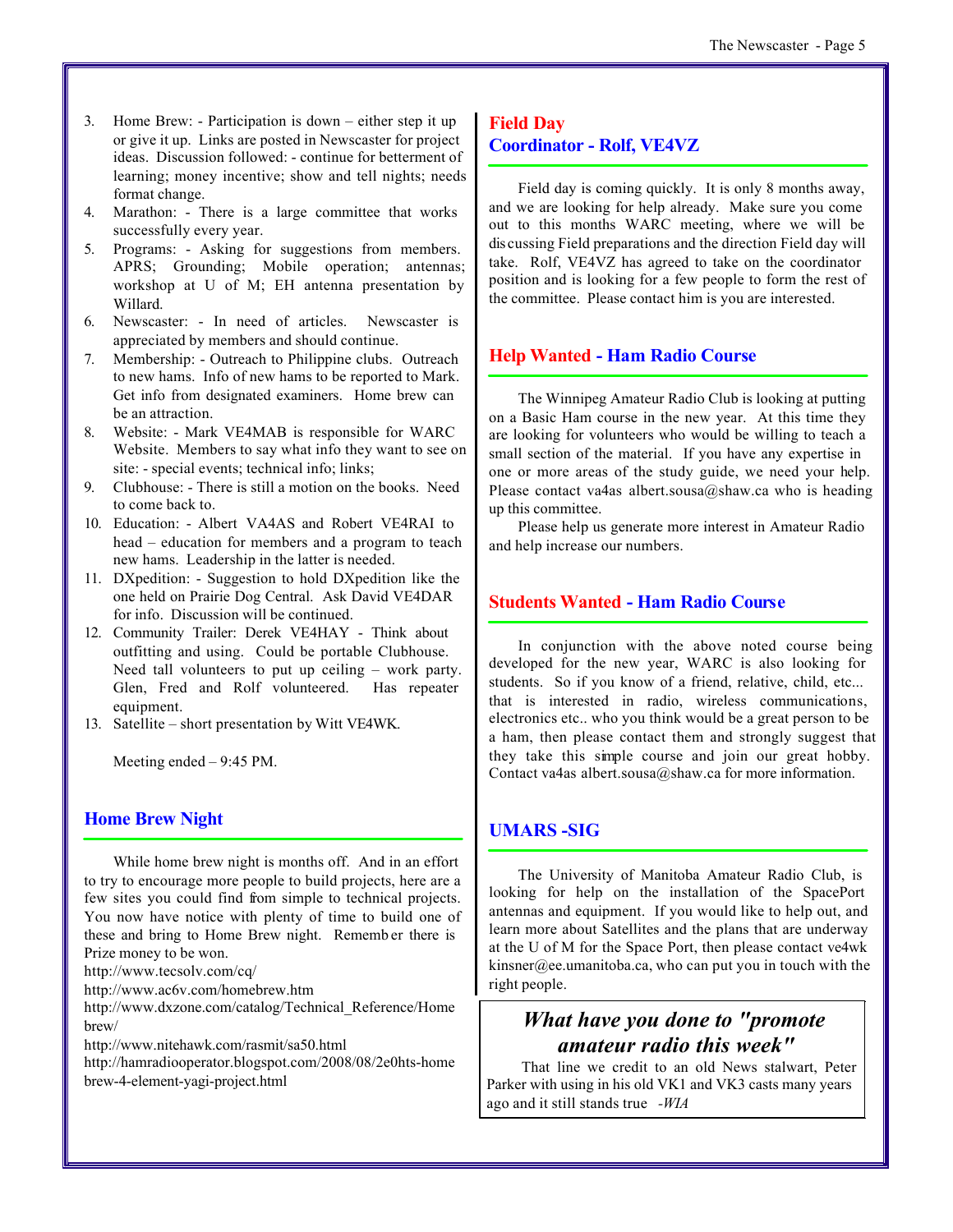- 3. Home Brew: Participation is down either step it up or give it up. Links are posted in Newscaster for project ideas. Discussion followed: - continue for betterment of learning; money incentive; show and tell nights; needs format change.
- 4. Marathon: There is a large committee that works successfully every year.
- 5. Programs: Asking for suggestions from members. APRS; Grounding; Mobile operation; antennas; workshop at U of M; EH antenna presentation by Willard.
- 6. Newscaster: In need of articles. Newscaster is appreciated by members and should continue.
- 7. Membership: Outreach to Philippine clubs. Outreach to new hams. Info of new hams to be reported to Mark. Get info from designated examiners. Home brew can be an attraction.
- 8. Website: Mark VE4MAB is responsible for WARC Website. Members to say what info they want to see on site: - special events; technical info; links;
- 9. Clubhouse: There is still a motion on the books. Need to come back to.
- 10. Education: Albert VA4AS and Robert VE4RAI to head – education for members and a program to teach new hams. Leadership in the latter is needed.
- 11. DXpedition: Suggestion to hold DXpedition like the one held on Prairie Dog Central. Ask David VE4DAR for info. Discussion will be continued.
- 12. Community Trailer: Derek VE4HAY Think about outfitting and using. Could be portable Clubhouse. Need tall volunteers to put up ceiling – work party. Glen, Fred and Rolf volunteered. Has repeater equipment.
- 13. Satellite short presentation by Witt VE4WK.

Meeting ended – 9:45 PM.

#### **Home Brew Night**

While home brew night is months off. And in an effort to try to encourage more people to build projects, here are a few sites you could find from simple to technical projects. You now have notice with plenty of time to build one of these and bring to Home Brew night. Rememb er there is Prize money to be won.

http://www.tecsolv.com/cq/

http://www.ac6v.com/homebrew.htm

http://www.dxzone.com/catalog/Technical\_Reference/Home brew/

http://www.nitehawk.com/rasmit/sa50.html

http://hamradiooperator.blogspot.com/2008/08/2e0hts-home brew-4-element-yagi-project.html

#### **Field Day Coordinator - Rolf, VE4VZ**

Field day is coming quickly. It is only 8 months away, and we are looking for help already. Make sure you come out to this months WARC meeting, where we will be dis cussing Field preparations and the direction Field day will take. Rolf, VE4VZ has agreed to take on the coordinator position and is looking for a few people to form the rest of the committee. Please contact him is you are interested.

#### **Help Wanted - Ham Radio Course**

The Winnipeg Amateur Radio Club is looking at putting on a Basic Ham course in the new year. At this time they are looking for volunteers who would be willing to teach a small section of the material. If you have any expertise in one or more areas of the study guide, we need your help. Please contact va4as albert.sousa@shaw.ca who is heading up this committee.

Please help us generate more interest in Amateur Radio and help increase our numbers.

#### **Students Wanted - Ham Radio Course**

In conjunction with the above noted course being developed for the new year, WARC is also looking for students. So if you know of a friend, relative, child, etc... that is interested in radio, wireless communications, electronics etc.. who you think would be a great person to be a ham, then please contact them and strongly suggest that they take this simple course and join our great hobby. Contact va4as albert.sousa@shaw.ca for more information.

#### **UMARS -SIG**

The University of Manitoba Amateur Radio Club, is looking for help on the installation of the SpacePort antennas and equipment. If you would like to help out, and learn more about Satellites and the plans that are underway at the U of M for the Space Port, then please contact ve4wk kinsner@ee.umanitoba.ca, who can put you in touch with the right people.

## *What have you done to "promote amateur radio this week"*

 That line we credit to an old News stalwart, Peter Parker with using in his old VK1 and VK3 casts many years ago and it still stands true *-WIA*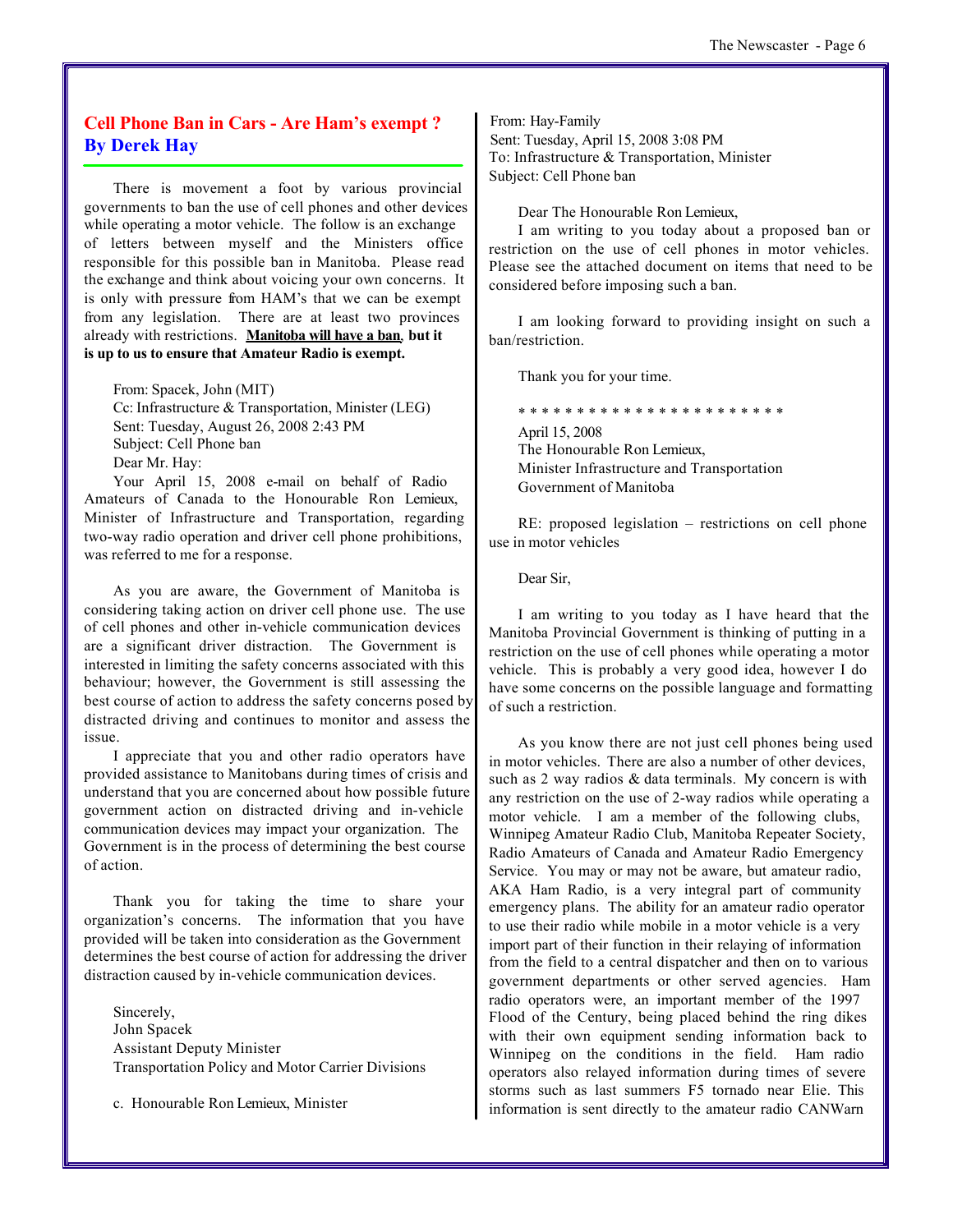#### **Cell Phone Ban in Cars - Are Ham's exempt ? By Derek Hay**

There is movement a foot by various provincial governments to ban the use of cell phones and other devices while operating a motor vehicle. The follow is an exchange of letters between myself and the Ministers office responsible for this possible ban in Manitoba. Please read the exchange and think about voicing your own concerns. It is only with pressure from HAM's that we can be exempt from any legislation. There are at least two provinces already with restrictions. **Manitoba will have a ban**, **but it is up to us to ensure that Amateur Radio is exempt.**

From: Spacek, John (MIT) Cc: Infrastructure & Transportation, Minister (LEG) Sent: Tuesday, August 26, 2008 2:43 PM Subject: Cell Phone ban Dear Mr. Hay: Your April 15, 2008 e-mail on behalf of Radio

Amateurs of Canada to the Honourable Ron Lemieux, Minister of Infrastructure and Transportation, regarding two-way radio operation and driver cell phone prohibitions, was referred to me for a response.

As you are aware, the Government of Manitoba is considering taking action on driver cell phone use. The use of cell phones and other in-vehicle communication devices are a significant driver distraction. The Government is interested in limiting the safety concerns associated with this behaviour; however, the Government is still assessing the best course of action to address the safety concerns posed by distracted driving and continues to monitor and assess the issue.

I appreciate that you and other radio operators have provided assistance to Manitobans during times of crisis and understand that you are concerned about how possible future government action on distracted driving and in-vehicle communication devices may impact your organization. The Government is in the process of determining the best course of action.

Thank you for taking the time to share your organization's concerns. The information that you have provided will be taken into consideration as the Government determines the best course of action for addressing the driver distraction caused by in-vehicle communication devices.

Sincerely, John Spacek Assistant Deputy Minister Transportation Policy and Motor Carrier Divisions

c. Honourable Ron Lemieux, Minister

From: Hay-Family Sent: Tuesday, April 15, 2008 3:08 PM To: Infrastructure & Transportation, Minister Subject: Cell Phone ban

Dear The Honourable Ron Lemieux,

I am writing to you today about a proposed ban or restriction on the use of cell phones in motor vehicles. Please see the attached document on items that need to be considered before imposing such a ban.

I am looking forward to providing insight on such a ban/restriction.

Thank you for your time.

\* \* \* \* \* \* \* \* \* \* \* \* \* \* \* \* \* \* \* \* \* \* \* April 15, 2008 The Honourable Ron Lemieux, Minister Infrastructure and Transportation Government of Manitoba

RE: proposed legislation – restrictions on cell phone use in motor vehicles

Dear Sir,

I am writing to you today as I have heard that the Manitoba Provincial Government is thinking of putting in a restriction on the use of cell phones while operating a motor vehicle. This is probably a very good idea, however I do have some concerns on the possible language and formatting of such a restriction.

As you know there are not just cell phones being used in motor vehicles. There are also a number of other devices, such as 2 way radios & data terminals. My concern is with any restriction on the use of 2-way radios while operating a motor vehicle. I am a member of the following clubs, Winnipeg Amateur Radio Club, Manitoba Repeater Society, Radio Amateurs of Canada and Amateur Radio Emergency Service. You may or may not be aware, but amateur radio, AKA Ham Radio, is a very integral part of community emergency plans. The ability for an amateur radio operator to use their radio while mobile in a motor vehicle is a very import part of their function in their relaying of information from the field to a central dispatcher and then on to various government departments or other served agencies. Ham radio operators were, an important member of the 1997 Flood of the Century, being placed behind the ring dikes with their own equipment sending information back to Winnipeg on the conditions in the field. Ham radio operators also relayed information during times of severe storms such as last summers F5 tornado near Elie. This information is sent directly to the amateur radio CANWarn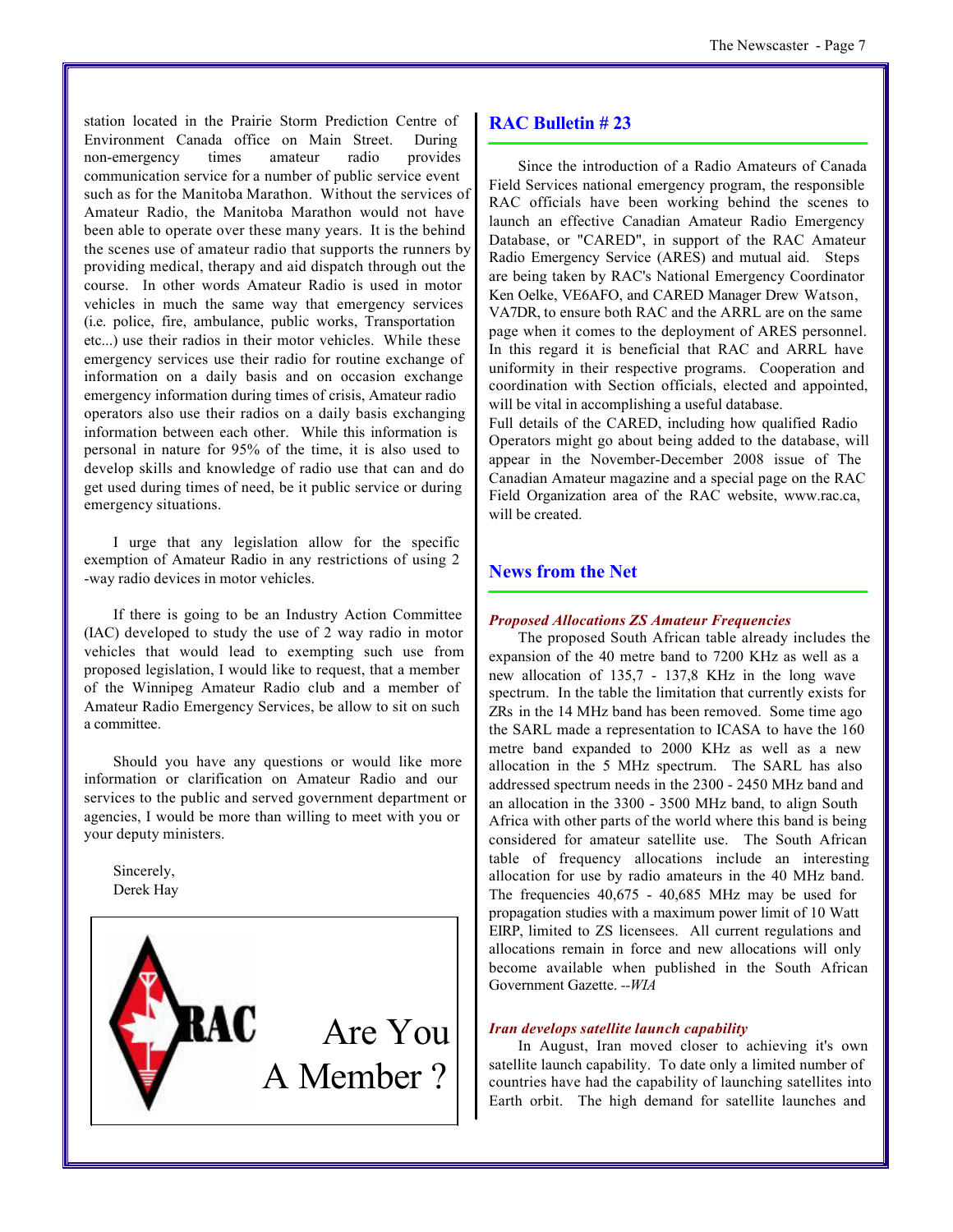station located in the Prairie Storm Prediction Centre of Environment Canada office on Main Street. During non-emergency times amateur radio provides communication service for a number of public service event such as for the Manitoba Marathon. Without the services of Amateur Radio, the Manitoba Marathon would not have been able to operate over these many years. It is the behind the scenes use of amateur radio that supports the runners by providing medical, therapy and aid dispatch through out the course. In other words Amateur Radio is used in motor vehicles in much the same way that emergency services (i.e. police, fire, ambulance, public works, Transportation etc...) use their radios in their motor vehicles. While these emergency services use their radio for routine exchange of information on a daily basis and on occasion exchange emergency information during times of crisis, Amateur radio operators also use their radios on a daily basis exchanging information between each other. While this information is personal in nature for 95% of the time, it is also used to develop skills and knowledge of radio use that can and do get used during times of need, be it public service or during emergency situations.

I urge that any legislation allow for the specific exemption of Amateur Radio in any restrictions of using 2 -way radio devices in motor vehicles.

If there is going to be an Industry Action Committee (IAC) developed to study the use of 2 way radio in motor vehicles that would lead to exempting such use from proposed legislation, I would like to request, that a member of the Winnipeg Amateur Radio club and a member of Amateur Radio Emergency Services, be allow to sit on such a committee.

Should you have any questions or would like more information or clarification on Amateur Radio and our services to the public and served government department or agencies, I would be more than willing to meet with you or your deputy ministers.

Sincerely, Derek Hay



#### **RAC Bulletin # 23**

Since the introduction of a Radio Amateurs of Canada Field Services national emergency program, the responsible RAC officials have been working behind the scenes to launch an effective Canadian Amateur Radio Emergency Database, or "CARED", in support of the RAC Amateur Radio Emergency Service (ARES) and mutual aid. Steps are being taken by RAC's National Emergency Coordinator Ken Oelke, VE6AFO, and CARED Manager Drew Watson, VA7DR, to ensure both RAC and the ARRL are on the same page when it comes to the deployment of ARES personnel. In this regard it is beneficial that RAC and ARRL have uniformity in their respective programs. Cooperation and coordination with Section officials, elected and appointed, will be vital in accomplishing a useful database.

Full details of the CARED, including how qualified Radio Operators might go about being added to the database, will appear in the November-December 2008 issue of The Canadian Amateur magazine and a special page on the RAC Field Organization area of the RAC website, www.rac.ca, will be created.

#### **News from the Net**

#### *Proposed Allocations ZS Amateur Frequencies*

The proposed South African table already includes the expansion of the 40 metre band to 7200 KHz as well as a new allocation of 135,7 - 137,8 KHz in the long wave spectrum. In the table the limitation that currently exists for ZRs in the 14 MHz band has been removed. Some time ago the SARL made a representation to ICASA to have the 160 metre band expanded to 2000 KHz as well as a new allocation in the 5 MHz spectrum. The SARL has also addressed spectrum needs in the 2300 - 2450 MHz band and an allocation in the 3300 - 3500 MHz band, to align South Africa with other parts of the world where this band is being considered for amateur satellite use. The South African table of frequency allocations include an interesting allocation for use by radio amateurs in the 40 MHz band. The frequencies 40,675 - 40,685 MHz may be used for propagation studies with a maximum power limit of 10 Watt EIRP, limited to ZS licensees. All current regulations and allocations remain in force and new allocations will only become available when published in the South African Government Gazette. *--WIA*

#### *Iran develops satellite launch capability*

In August, Iran moved closer to achieving it's own satellite launch capability. To date only a limited number of countries have had the capability of launching satellites into Earth orbit. The high demand for satellite launches and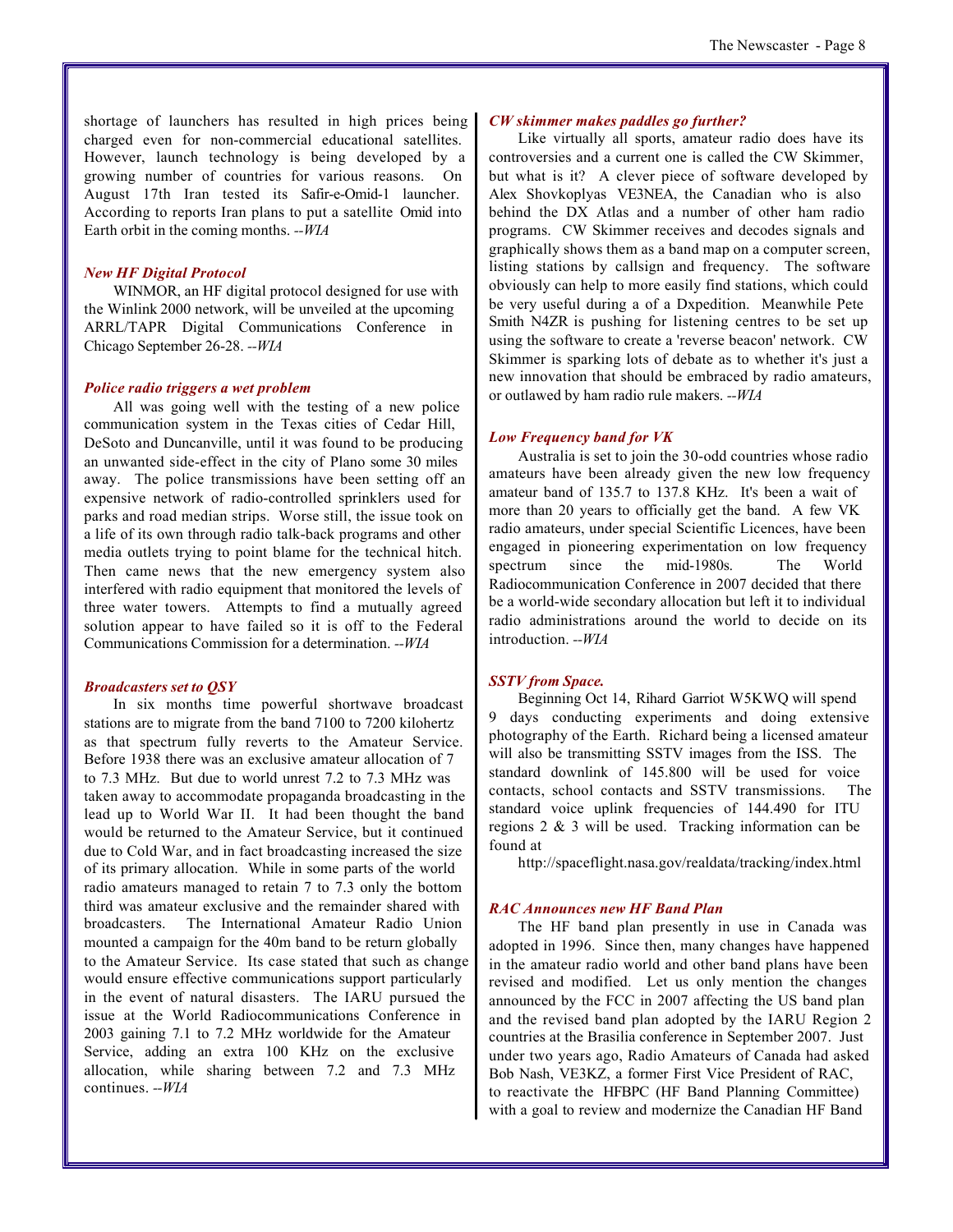shortage of launchers has resulted in high prices being charged even for non-commercial educational satellites. However, launch technology is being developed by a growing number of countries for various reasons. On August 17th Iran tested its Safir-e-Omid-1 launcher. According to reports Iran plans to put a satellite Omid into Earth orbit in the coming months. *--WIA*

#### *New HF Digital Protocol*

WINMOR, an HF digital protocol designed for use with the Winlink 2000 network, will be unveiled at the upcoming ARRL/TAPR Digital Communications Conference in Chicago September 26-28. *--WIA*

#### *Police radio triggers a wet problem*

All was going well with the testing of a new police communication system in the Texas cities of Cedar Hill, DeSoto and Duncanville, until it was found to be producing an unwanted side-effect in the city of Plano some 30 miles away. The police transmissions have been setting off an expensive network of radio-controlled sprinklers used for parks and road median strips. Worse still, the issue took on a life of its own through radio talk-back programs and other media outlets trying to point blame for the technical hitch. Then came news that the new emergency system also interfered with radio equipment that monitored the levels of three water towers. Attempts to find a mutually agreed solution appear to have failed so it is off to the Federal Communications Commission for a determination. *--WIA*

#### *Broadcasters set to QSY*

In six months time powerful shortwave broadcast stations are to migrate from the band 7100 to 7200 kilohertz as that spectrum fully reverts to the Amateur Service. Before 1938 there was an exclusive amateur allocation of 7 to 7.3 MHz. But due to world unrest 7.2 to 7.3 MHz was taken away to accommodate propaganda broadcasting in the lead up to World War II. It had been thought the band would be returned to the Amateur Service, but it continued due to Cold War, and in fact broadcasting increased the size of its primary allocation. While in some parts of the world radio amateurs managed to retain 7 to 7.3 only the bottom third was amateur exclusive and the remainder shared with broadcasters. The International Amateur Radio Union mounted a campaign for the 40m band to be return globally to the Amateur Service. Its case stated that such as change would ensure effective communications support particularly in the event of natural disasters. The IARU pursued the issue at the World Radiocommunications Conference in 2003 gaining 7.1 to 7.2 MHz worldwide for the Amateur Service, adding an extra 100 KHz on the exclusive allocation, while sharing between 7.2 and 7.3 MHz continues. *--WIA*

#### *CW skimmer makes paddles go further?*

Like virtually all sports, amateur radio does have its controversies and a current one is called the CW Skimmer, but what is it? A clever piece of software developed by Alex Shovkoplyas VE3NEA, the Canadian who is also behind the DX Atlas and a number of other ham radio programs. CW Skimmer receives and decodes signals and graphically shows them as a band map on a computer screen, listing stations by callsign and frequency. The software obviously can help to more easily find stations, which could be very useful during a of a Dxpedition. Meanwhile Pete Smith N4ZR is pushing for listening centres to be set up using the software to create a 'reverse beacon' network. CW Skimmer is sparking lots of debate as to whether it's just a new innovation that should be embraced by radio amateurs, or outlawed by ham radio rule makers. *--WIA*

#### *Low Frequency band for VK*

Australia is set to join the 30-odd countries whose radio amateurs have been already given the new low frequency amateur band of 135.7 to 137.8 KHz. It's been a wait of more than 20 years to officially get the band. A few VK radio amateurs, under special Scientific Licences, have been engaged in pioneering experimentation on low frequency spectrum since the mid-1980s. The World Radiocommunication Conference in 2007 decided that there be a world-wide secondary allocation but left it to individual radio administrations around the world to decide on its introduction. *--WIA*

#### *SSTV from Space.*

Beginning Oct 14, Rihard Garriot W5KWQ will spend 9 days conducting experiments and doing extensive photography of the Earth. Richard being a licensed amateur will also be transmitting SSTV images from the ISS. The standard downlink of 145.800 will be used for voice contacts, school contacts and SSTV transmissions. The standard voice uplink frequencies of 144.490 for ITU regions 2 & 3 will be used. Tracking information can be found at

http://spaceflight.nasa.gov/realdata/tracking/index.html

#### *RAC Announces new HF Band Plan*

The HF band plan presently in use in Canada was adopted in 1996. Since then, many changes have happened in the amateur radio world and other band plans have been revised and modified. Let us only mention the changes announced by the FCC in 2007 affecting the US band plan and the revised band plan adopted by the IARU Region 2 countries at the Brasilia conference in September 2007. Just under two years ago, Radio Amateurs of Canada had asked Bob Nash, VE3KZ, a former First Vice President of RAC, to reactivate the HFBPC (HF Band Planning Committee) with a goal to review and modernize the Canadian HF Band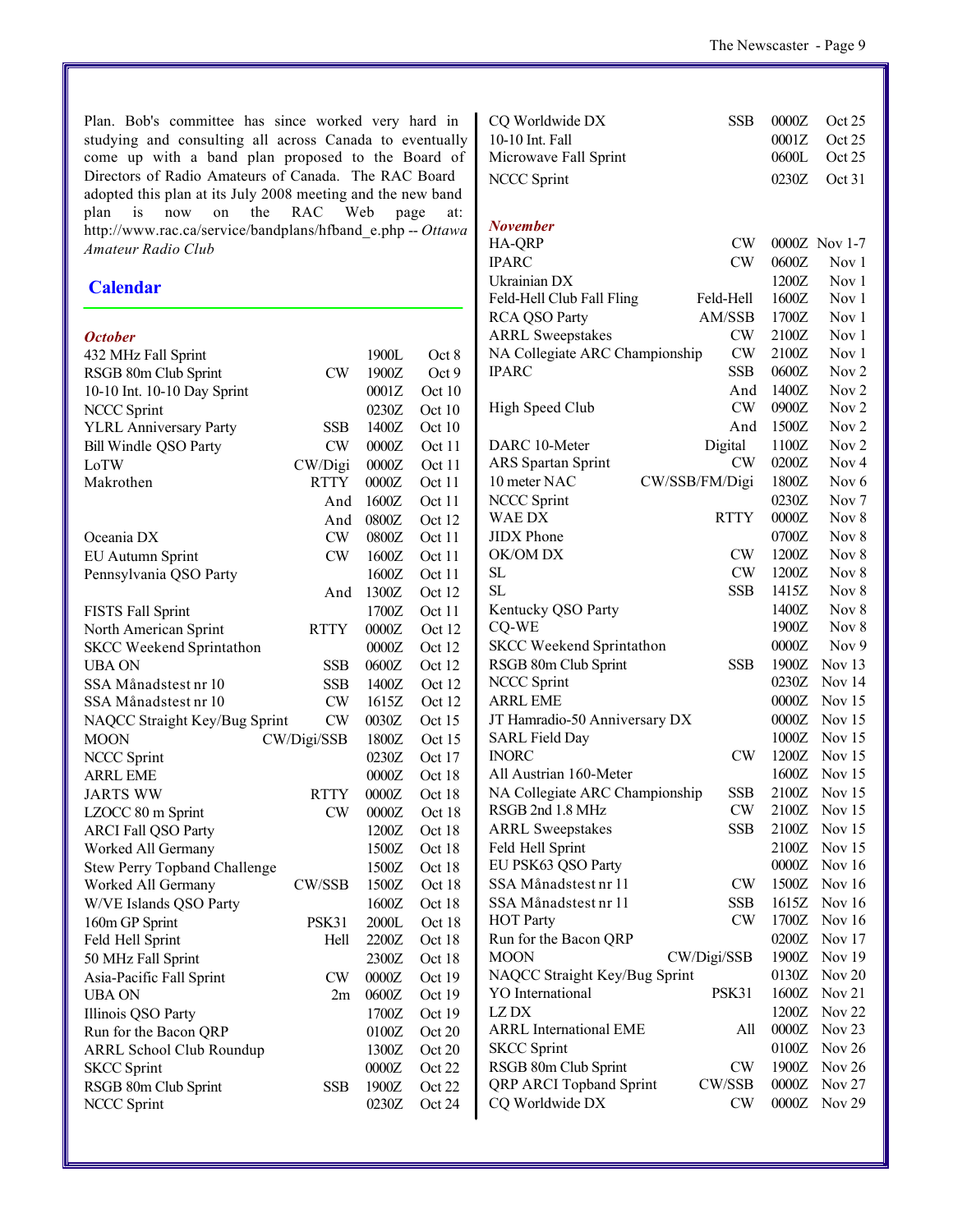Plan. Bob's committee has since worked very hard in studying and consulting all across Canada to eventually come up with a band plan proposed to the Board of Directors of Radio Amateurs of Canada. The RAC Board adopted this plan at its July 2008 meeting and the new band plan is now on the RAC Web page at: http://www.rac.ca/service/bandplans/hfband\_e.php -- *Ottawa Amateur Radio Club*

#### **Calendar**

#### *October*

| 432 MHz Fall Sprint                 |               | 1900L   | Oct 8    |
|-------------------------------------|---------------|---------|----------|
| RSGB 80m Club Sprint                | CW            | 1900Z   | Oct 9    |
| 10-10 Int. 10-10 Day Sprint         |               | 0001Z   | Oct 10   |
| <b>NCCC Sprint</b>                  |               | 0230Z   | Oct 10   |
| <b>YLRL Anniversary Party</b>       | SSB           | 1400Z   | Oct 10   |
| Bill Windle QSO Party               | CW            | 0000Z   | Oct 11   |
| LoTW                                | CW/Digi       | 0000Z   | Oct 11   |
| Makrothen                           | <b>RTTY</b>   | $0000Z$ | Oct 11   |
|                                     | And           | 1600Z   | Oct 11   |
|                                     | And           | 0800Z   | Oct 12   |
| Oceania DX                          | CW            | 0800Z   | Oct 11   |
| <b>EU Autumn Sprint</b>             | CW            | 1600Z   | Oct 11   |
| Pennsylvania QSO Party              |               | 1600Z   | Oct 11   |
|                                     | And           | 1300Z   | Oct 12   |
| <b>FISTS Fall Sprint</b>            |               | 1700Z   | Oct 11   |
| North American Sprint               | <b>RTTY</b>   | 0000Z   | Oct 12   |
| <b>SKCC Weekend Sprintathon</b>     |               | 0000Z   | Oct 12   |
| UBA ON                              | <b>SSB</b>    | 0600Z   | Oct 12   |
| SSA Månadstest nr 10                | <b>SSB</b>    | 1400Z   | Oct 12   |
| SSA Månadstest nr 10                | CW            | 1615Z   | Oct 12   |
| NAQCC Straight Key/Bug Sprint       | CW            | 0030Z   | Oct 15   |
| <b>MOON</b>                         | CW/Digi/SSB   | 1800Z   | Oct $15$ |
| <b>NCCC Sprint</b>                  |               | 0230Z   | Oct 17   |
| <b>ARRL EME</b>                     |               | 0000Z   | Oct 18   |
| <b>JARTS WW</b>                     | RTTY          | 0000Z   | Oct 18   |
| LZOCC 80 m Sprint                   | CW            | 0000Z   | Oct 18   |
| <b>ARCI Fall QSO Party</b>          |               | 1200Z   | Oct 18   |
| Worked All Germany                  |               | 1500Z   | Oct 18   |
| <b>Stew Perry Topband Challenge</b> |               | 1500Z   | Oct 18   |
| Worked All Germany                  | <b>CW/SSB</b> | 1500Z   | Oct 18   |
| W/VE Islands QSO Party              |               | 1600Z   | Oct 18   |
| 160m GP Sprint                      | PSK31         | 2000L   | Oct 18   |
| Feld Hell Sprint                    | Hell          | 2200Z   | Oct 18   |
| 50 MHz Fall Sprint                  |               | 2300Z   | Oct 18   |
| Asia-Pacific Fall Sprint            | CW.           | 0000Z   | Oct $19$ |
| <b>UBA ON</b>                       | 2m            | 0600Z   | Oct 19   |
| Illinois QSO Party                  |               | 1700Z   | Oct $19$ |
| Run for the Bacon QRP               |               | 0100Z   | Oct 20   |
| <b>ARRL School Club Roundup</b>     |               | 1300Z   | Oct 20   |
| <b>SKCC Sprint</b>                  |               | 0000Z   | Oct 22   |
| RSGB 80m Club Sprint                | SSB           | 1900Z   | Oct 22   |
| NCCC Sprint                         |               | 0230Z   | Oct 24   |
|                                     |               |         |          |

| CQ Worldwide DX                 | <b>SSB</b>     | 0000Z   | Oct 25            |
|---------------------------------|----------------|---------|-------------------|
| 10-10 Int. Fall                 |                | 0001Z   | Oct 25            |
| Microwave Fall Sprint           |                | 0600L   | Oct 25            |
| <b>NCCC Sprint</b>              |                | 0230Z   | Oct 31            |
|                                 |                |         |                   |
|                                 |                |         |                   |
| <b>November</b>                 |                |         |                   |
| HA-QRP                          | CW             |         | 0000Z Nov 1-7     |
| <b>IPARC</b>                    | CW             | 0600Z   | Nov 1             |
| Ukrainian DX                    |                | 1200Z   | Nov 1             |
| Feld-Hell Club Fall Fling       | Feld-Hell      | 1600Z   | Nov 1             |
| <b>RCA QSO Party</b>            | AM/SSB         | 1700Z   | Nov 1             |
| <b>ARRL Sweepstakes</b>         | <b>CW</b>      | 2100Z   | Nov <sub>1</sub>  |
| NA Collegiate ARC Championship  | CW             | 2100Z   | Nov 1             |
| <b>IPARC</b>                    | SSB            | 0600Z   | Nov <sub>2</sub>  |
|                                 | And            | 1400Z   | Nov <sub>2</sub>  |
| High Speed Club                 | CW             | 0900Z   | Nov 2             |
|                                 | And            | 1500Z   | Nov <sub>2</sub>  |
| DARC 10-Meter                   | Digital        | 1100Z   | Nov <sub>2</sub>  |
| <b>ARS</b> Spartan Sprint       | CW             | 0200Z   | Nov <sub>4</sub>  |
| 10 meter NAC                    | CW/SSB/FM/Digi | 1800Z   | Nov <sub>6</sub>  |
| <b>NCCC Sprint</b>              |                | 0230Z   | Nov <sub>7</sub>  |
| WAE DX                          | <b>RTTY</b>    | $0000Z$ | Nov 8             |
| <b>JIDX</b> Phone               |                | 0700Z   | Nov 8             |
| OK/OM DX                        | CW             | 1200Z   | Nov 8             |
| SL                              | <b>CW</b>      | 1200Z   | Nov 8             |
| SL                              | SSB            | 1415Z   | Nov $8$           |
| Kentucky QSO Party              |                | 1400Z   | Nov 8             |
| CQ-WE                           |                | 1900Z   | Nov 8             |
| <b>SKCC Weekend Sprintathon</b> |                | 0000Z   | Nov <sub>9</sub>  |
| RSGB 80m Club Sprint            | <b>SSB</b>     | 1900Z   | Nov 13            |
| <b>NCCC Sprint</b>              |                | 0230Z   | Nov 14            |
| <b>ARRL EME</b>                 |                | 0000Z   | Nov 15            |
| JT Hamradio-50 Anniversary DX   |                | 0000Z   | Nov $15$          |
| <b>SARL Field Day</b>           |                | 1000Z   | Nov $15$          |
| <b>INORC</b>                    | <b>CW</b>      | 1200Z   | Nov $15$          |
| All Austrian 160-Meter          |                | 1600Z   | Nov $15$          |
| NA Collegiate ARC Championship  | <b>SSB</b>     | 2100Z   | Nov 15            |
| RSGB 2nd 1.8 MHz                | <b>CW</b>      | 2100Z   | Nov $15$          |
| <b>ARRL Sweepstakes</b>         | SSB            | 2100Z   | Nov $15$          |
| Feld Hell Sprint                |                | 2100Z   | Nov $15$          |
| EU PSK63 QSO Party              |                | 0000Z   | Nov $16$          |
| SSA Månadstest nr 11            | <b>CW</b>      | 1500Z   | Nov $16$          |
| SSA Månadstest nr 11            | SSB            | 1615Z   | Nov $16$          |
|                                 | <b>CW</b>      |         |                   |
| <b>HOT Party</b>                |                | 1700Z   | Nov $16$          |
| Run for the Bacon QRP           |                | 0200Z   | Nov 17            |
| <b>MOON</b>                     | CW/Digi/SSB    | 1900Z   | Nov 19            |
| NAQCC Straight Key/Bug Sprint   |                | 0130Z   | <b>Nov 20</b>     |
| <b>YO</b> International         | PSK31          | 1600Z   | Nov <sub>21</sub> |
| LZ DX                           |                | 1200Z   | Nov <sub>22</sub> |
| <b>ARRL International EME</b>   | All            | 0000Z   | Nov $23$          |
| <b>SKCC</b> Sprint              |                | 0100Z   | Nov $26$          |
| RSGB 80m Club Sprint            | <b>CW</b>      | 1900Z   | Nov 26            |
| QRP ARCI Topband Sprint         | CW/SSB         | 0000Z   | <b>Nov 27</b>     |
| CQ Worldwide DX                 | CW             | 0000Z   | Nov 29            |